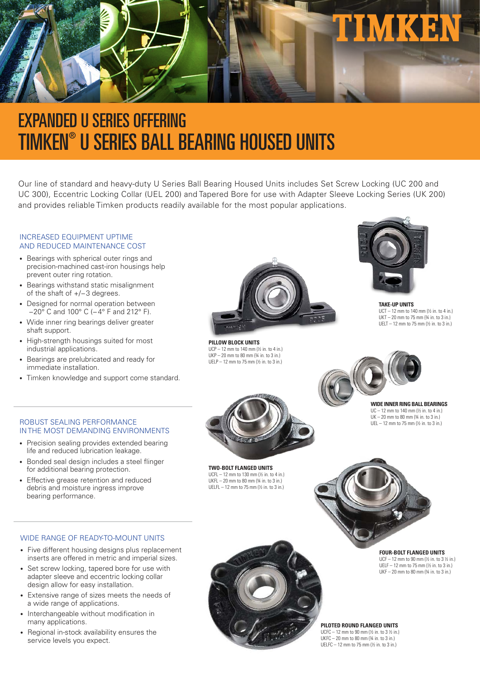

# EXPANDED U SERIES OFFERING TIMKEN® U SERIES BALL BEARING HOUSED UNITS

Our line of standard and heavy-duty U Series Ball Bearing Housed Units includes Set Screw Locking (UC 200 and UC 300), Eccentric Locking Collar (UEL 200) and Tapered Bore for use with Adapter Sleeve Locking Series (UK 200) and provides reliable Timken products readily available for the most popular applications.

#### INCREASED EQUIPMENT UPTIME AND REDUCED MAINTENANCE COST

- Bearings with spherical outer rings and precision-machined cast-iron housings help prevent outer ring rotation.
- Bearings withstand static misalignment of the shaft of +/− 3 degrees.
- Designed for normal operation between −20° C and 100° C (−4° F and 212° F).
- Wide inner ring bearings deliver greater shaft support.
- High-strength housings suited for most industrial applications.
- Bearings are prelubricated and ready for immediate installation.
- Timken knowledge and support come standard.



**PILLOW BLOCK UNITS** UCP – 12 mm to 140 mm (½ in. to 4 in.) UKP – 20 mm to 80 mm (¾ in. to 3 in.) UELP – 12 mm to 75 mm (½ in. to 3 in.)



**TAKE-UP UNITS**  UCT – 12 mm to 140 mm (½ in. to 4 in.) UKT – 20 mm to 75 mm (¾ in. to 3 in.) UELT – 12 mm to 75 mm (½ in. to 3 in.)



ROBUST SEALING PERFORMANCE IN THE MOST DEMANDING ENVIRONMENTS

- Precision sealing provides extended bearing life and reduced lubrication leakage.
- Bonded seal design includes a steel flinger for additional bearing protection.
- Effective grease retention and reduced debris and moisture ingress improve bearing performance.



**TWO-BOLT FLANGED UNITS**  UCFL – 12 mm to 130 mm (½ in. to 4 in.) UKFL  $-20$  mm to 80 mm  $\frac{3}{4}$  in. to 3 in.) UELFL – 12 mm to 75 mm (½ in. to 3 in.)

 $UC = 12$  mm to 140 mm  $(1/6)$  in. to 4 in.)  $UK - 20$  mm to 80 mm  $(34$  in. to 3 in.) UEL – 12 mm to 75 mm (½ in. to 3 in.)



WIDE RANGE OF READY-TO-MOUNT UNITS

- Five different housing designs plus replacement inserts are offered in metric and imperial sizes.
- Set screw locking, tapered bore for use with adapter sleeve and eccentric locking collar design allow for easy installation.
- Extensive range of sizes meets the needs of a wide range of applications.
- Interchangeable without modification in many applications.
- Regional in-stock availability ensures the service levels you expect.

**FOUR-BOLT FLANGED UNITS** UCF – 12 mm to 90 mm (½ in. to 3 ½ in.) UELF – 12 mm to 75 mm (½ in. to 3 in.)  $UKF - 20$  mm to 80 mm  $(34$  in. to 3 in.)

**PILOTED ROUND FLANGED UNITS**  UCFC – 12 mm to 90 mm (½ in. to 3 ½ in.)

UKFC – 20 mm to 80 mm (¾ in. to 3 in.) UELFC – 12 mm to 75 mm (½ in. to 3 in.)